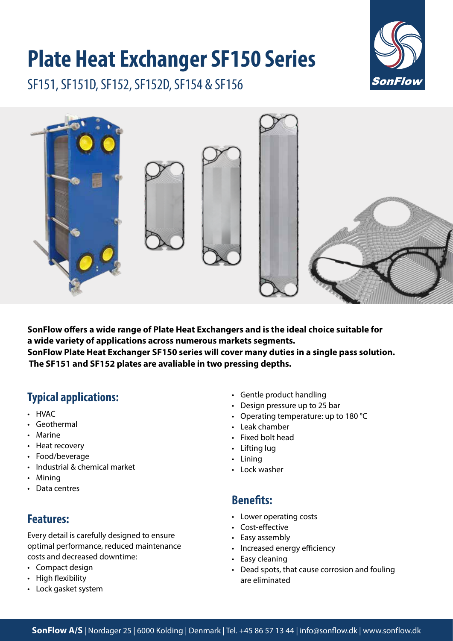# **Plate Heat Exchanger SF150 Series**

SF151, SF151D, SF152, SF152D, SF154 & SF156





**SonFlow offers a wide range of Plate Heat Exchangers and is the ideal choice suitable for a wide variety of applications across numerous markets segments. SonFlow Plate Heat Exchanger SF150 series will cover many duties in a single pass solution. The SF151 and SF152 plates are avaliable in two pressing depths.**

# **Typical applications:**

- HVAC
- Geothermal
- Marine
- Heat recovery
- Food/beverage
- Industrial & chemical market
- Mining
- Data centres

## **Features:**

Every detail is carefully designed to ensure optimal performance, reduced maintenance costs and decreased downtime:

- Compact design
- High flexibility
- Lock gasket system
- Gentle product handling
- Design pressure up to 25 bar
- Operating temperature: up to 180 °C
- Leak chamber
- Fixed bolt head
- Lifting lug
- Lining
- Lock washer

#### **Benefits:**

- Lower operating costs
- Cost-effective
- Easy assembly
- Increased energy efficiency
- Easy cleaning
- Dead spots, that cause corrosion and fouling are eliminated